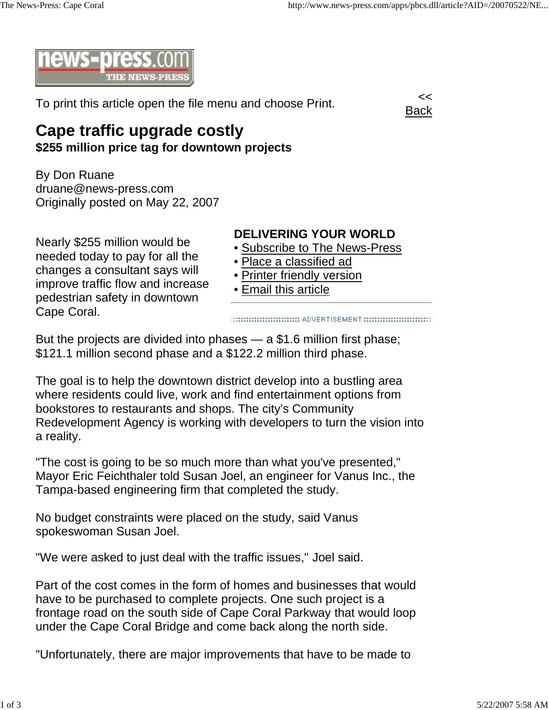

To print this article open the file menu and choose Print.



## **Cape traffic upgrade costly \$255 million price tag for downtown projects**

By Don Ruane druane@news-press.com Originally posted on May 22, 2007

Nearly \$255 million would be needed today to pay for all the changes a consultant says will improve traffic flow and increase pedestrian safety in downtown

Cape Coral.

## **DELIVERING YOUR WORLD**

- Subscribe to The News-Press
- Place a classified ad
- Printer friendly version
- Email this article

But the projects are divided into phases — a \$1.6 million first phase; \$121.1 million second phase and a \$122.2 million third phase.

The goal is to help the downtown district develop into a bustling area where residents could live, work and find entertainment options from bookstores to restaurants and shops. The city's Community Redevelopment Agency is working with developers to turn the vision into a reality.

"The cost is going to be so much more than what you've presented," Mayor Eric Feichthaler told Susan Joel, an engineer for Vanus Inc., the Tampa-based engineering firm that completed the study.

No budget constraints were placed on the study, said Vanus spokeswoman Susan Joel.

"We were asked to just deal with the traffic issues," Joel said.

Part of the cost comes in the form of homes and businesses that would have to be purchased to complete projects. One such project is a frontage road on the south side of Cape Coral Parkway that would loop under the Cape Coral Bridge and come back along the north side.

"Unfortunately, there are major improvements that have to be made to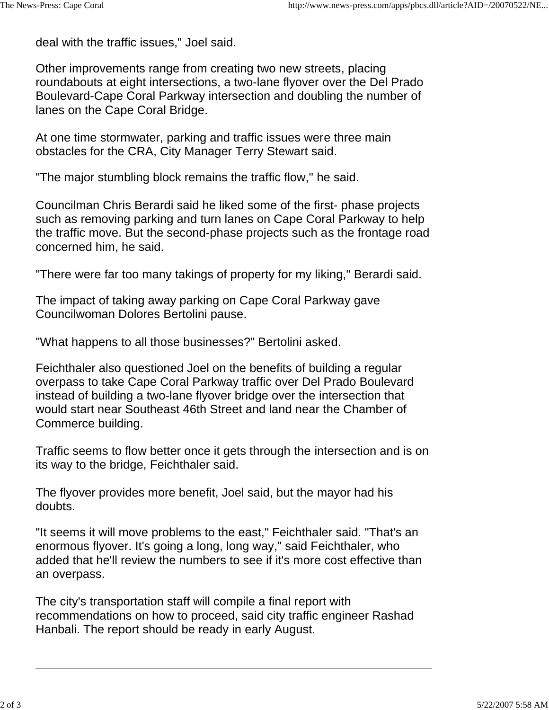deal with the traffic issues," Joel said.

Other improvements range from creating two new streets, placing roundabouts at eight intersections, a two-lane flyover over the Del Prado Boulevard-Cape Coral Parkway intersection and doubling the number of lanes on the Cape Coral Bridge.

At one time stormwater, parking and traffic issues were three main obstacles for the CRA, City Manager Terry Stewart said.

"The major stumbling block remains the traffic flow," he said.

Councilman Chris Berardi said he liked some of the first- phase projects such as removing parking and turn lanes on Cape Coral Parkway to help the traffic move. But the second-phase projects such as the frontage road concerned him, he said.

"There were far too many takings of property for my liking," Berardi said.

The impact of taking away parking on Cape Coral Parkway gave Councilwoman Dolores Bertolini pause.

"What happens to all those businesses?" Bertolini asked.

Feichthaler also questioned Joel on the benefits of building a regular overpass to take Cape Coral Parkway traffic over Del Prado Boulevard instead of building a two-lane flyover bridge over the intersection that would start near Southeast 46th Street and land near the Chamber of Commerce building.

Traffic seems to flow better once it gets through the intersection and is on its way to the bridge, Feichthaler said.

The flyover provides more benefit, Joel said, but the mayor had his doubts.

"It seems it will move problems to the east," Feichthaler said. "That's an enormous flyover. It's going a long, long way," said Feichthaler, who added that he'll review the numbers to see if it's more cost effective than an overpass.

The city's transportation staff will compile a final report with recommendations on how to proceed, said city traffic engineer Rashad Hanbali. The report should be ready in early August.